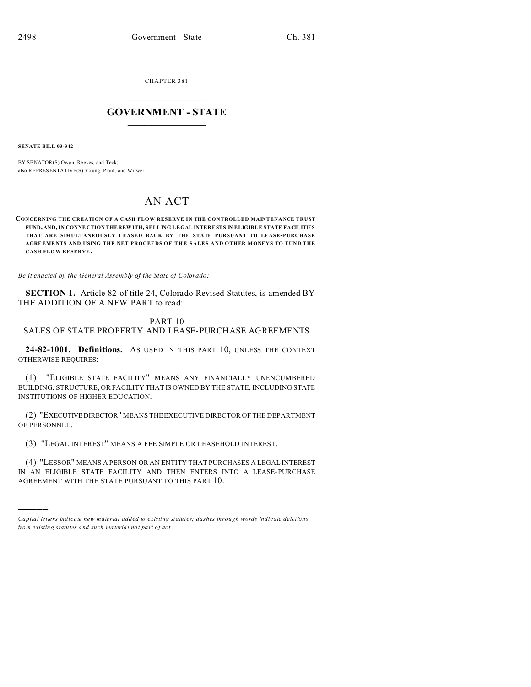CHAPTER 381  $\overline{\phantom{a}}$  , where  $\overline{\phantom{a}}$ 

## **GOVERNMENT - STATE**  $\_$   $\_$

**SENATE BILL 03-342**

)))))

BY SENATOR(S) Owen, Reeves, and Teck; also REPRESENTATIVE(S) Yo ung, Plant, and Witwer.

## AN ACT

**CONCERNING THE CREATION OF A CASH FLOW RESERVE IN THE CONTROLLED MAINTENANCE TRUST FUND, AND, IN CONNE CTION THE REW ITH, SELLING LEGAL INTERESTS IN ELIGIBLE STATE FACILITIES THAT ARE SIMULTANEOUSLY LEASED BACK BY THE STATE PURSUANT TO LEASE-PURCHASE AGRE EME NTS AND USING THE NET PROCEEDS OF THE SALE S AND OTHER MONEYS TO FUND THE CASH FLOW RESERVE.**

*Be it enacted by the General Assembly of the State of Colorado:*

**SECTION 1.** Article 82 of title 24, Colorado Revised Statutes, is amended BY THE ADDITION OF A NEW PART to read:

PART 10

## SALES OF STATE PROPERTY AND LEASE-PURCHASE AGREEMENTS

**24-82-1001. Definitions.** AS USED IN THIS PART 10, UNLESS THE CONTEXT OTHERWISE REQUIRES:

(1) "ELIGIBLE STATE FACILITY" MEANS ANY FINANCIALLY UNENCUMBERED BUILDING, STRUCTURE, OR FACILITY THAT IS OWNED BY THE STATE, INCLUDING STATE INSTITUTIONS OF HIGHER EDUCATION.

(2) "EXECUTIVEDIRECTOR" MEANS THE EXECUTIVE DIRECTOR OF THE DEPARTMENT OF PERSONNEL.

(3) "LEGAL INTEREST" MEANS A FEE SIMPLE OR LEASEHOLD INTEREST.

(4) "LESSOR" MEANS A PERSON OR AN ENTITY THAT PURCHASES A LEGAL INTEREST IN AN ELIGIBLE STATE FACILITY AND THEN ENTERS INTO A LEASE-PURCHASE AGREEMENT WITH THE STATE PURSUANT TO THIS PART 10.

*Capital letters indicate new material added to existing statutes; dashes through words indicate deletions from e xistin g statu tes a nd such ma teria l no t pa rt of ac t.*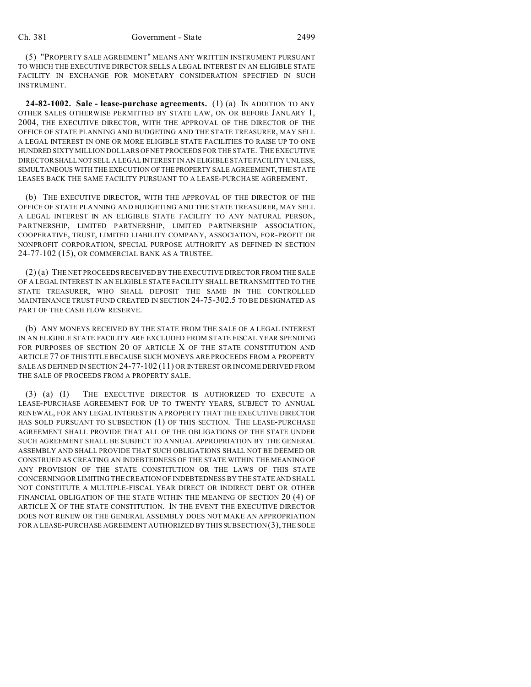(5) "PROPERTY SALE AGREEMENT" MEANS ANY WRITTEN INSTRUMENT PURSUANT TO WHICH THE EXECUTIVE DIRECTOR SELLS A LEGAL INTEREST IN AN ELIGIBLE STATE FACILITY IN EXCHANGE FOR MONETARY CONSIDERATION SPECIFIED IN SUCH INSTRUMENT.

**24-82-1002. Sale - lease-purchase agreements.** (1) (a) IN ADDITION TO ANY OTHER SALES OTHERWISE PERMITTED BY STATE LAW, ON OR BEFORE JANUARY 1, 2004, THE EXECUTIVE DIRECTOR, WITH THE APPROVAL OF THE DIRECTOR OF THE OFFICE OF STATE PLANNING AND BUDGETING AND THE STATE TREASURER, MAY SELL A LEGAL INTEREST IN ONE OR MORE ELIGIBLE STATE FACILITIES TO RAISE UP TO ONE HUNDRED SIXTY MILLION DOLLARS OF NET PROCEEDS FOR THE STATE. THE EXECUTIVE DIRECTOR SHALLNOT SELL A LEGAL INTEREST IN AN ELIGIBLE STATE FACILITY UNLESS, SIMULTANEOUS WITH THE EXECUTION OF THEPROPERTY SALE AGREEMENT, THE STATE LEASES BACK THE SAME FACILITY PURSUANT TO A LEASE-PURCHASE AGREEMENT.

(b) THE EXECUTIVE DIRECTOR, WITH THE APPROVAL OF THE DIRECTOR OF THE OFFICE OF STATE PLANNING AND BUDGETING AND THE STATE TREASURER, MAY SELL A LEGAL INTEREST IN AN ELIGIBLE STATE FACILITY TO ANY NATURAL PERSON, PARTNERSHIP, LIMITED PARTNERSHIP, LIMITED PARTNERSHIP ASSOCIATION, COOPERATIVE, TRUST, LIMITED LIABILITY COMPANY, ASSOCIATION, FOR-PROFIT OR NONPROFIT CORPORATION, SPECIAL PURPOSE AUTHORITY AS DEFINED IN SECTION 24-77-102 (15), OR COMMERCIAL BANK AS A TRUSTEE.

(2) (a) THE NET PROCEEDS RECEIVED BY THE EXECUTIVE DIRECTOR FROM THE SALE OF A LEGAL INTEREST IN AN ELIGIBLE STATE FACILITY SHALL BE TRANSMITTED TO THE STATE TREASURER, WHO SHALL DEPOSIT THE SAME IN THE CONTROLLED MAINTENANCE TRUST FUND CREATED IN SECTION 24-75-302.5 TO BE DESIGNATED AS PART OF THE CASH FLOW RESERVE.

(b) ANY MONEYS RECEIVED BY THE STATE FROM THE SALE OF A LEGAL INTEREST IN AN ELIGIBLE STATE FACILITY ARE EXCLUDED FROM STATE FISCAL YEAR SPENDING FOR PURPOSES OF SECTION 20 OF ARTICLE X OF THE STATE CONSTITUTION AND ARTICLE 77 OF THIS TITLE BECAUSE SUCH MONEYS ARE PROCEEDS FROM A PROPERTY SALE AS DEFINED IN SECTION 24-77-102 (11) OR INTEREST OR INCOME DERIVED FROM THE SALE OF PROCEEDS FROM A PROPERTY SALE.

(3) (a) (I) THE EXECUTIVE DIRECTOR IS AUTHORIZED TO EXECUTE A LEASE-PURCHASE AGREEMENT FOR UP TO TWENTY YEARS, SUBJECT TO ANNUAL RENEWAL, FOR ANY LEGAL INTEREST IN A PROPERTY THAT THE EXECUTIVE DIRECTOR HAS SOLD PURSUANT TO SUBSECTION (1) OF THIS SECTION. THE LEASE-PURCHASE AGREEMENT SHALL PROVIDE THAT ALL OF THE OBLIGATIONS OF THE STATE UNDER SUCH AGREEMENT SHALL BE SUBJECT TO ANNUAL APPROPRIATION BY THE GENERAL ASSEMBLY AND SHALL PROVIDE THAT SUCH OBLIGATIONS SHALL NOT BE DEEMED OR CONSTRUED AS CREATING AN INDEBTEDNESS OF THE STATE WITHIN THE MEANING OF ANY PROVISION OF THE STATE CONSTITUTION OR THE LAWS OF THIS STATE CONCERNING OR LIMITING THE CREATION OF INDEBTEDNESS BY THE STATE AND SHALL NOT CONSTITUTE A MULTIPLE-FISCAL YEAR DIRECT OR INDIRECT DEBT OR OTHER FINANCIAL OBLIGATION OF THE STATE WITHIN THE MEANING OF SECTION 20 (4) OF ARTICLE X OF THE STATE CONSTITUTION. IN THE EVENT THE EXECUTIVE DIRECTOR DOES NOT RENEW OR THE GENERAL ASSEMBLY DOES NOT MAKE AN APPROPRIATION FOR A LEASE-PURCHASE AGREEMENT AUTHORIZED BY THIS SUBSECTION (3), THE SOLE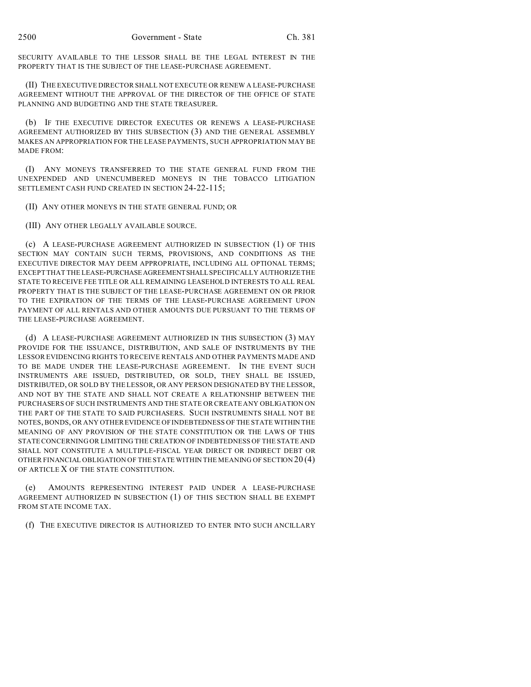SECURITY AVAILABLE TO THE LESSOR SHALL BE THE LEGAL INTEREST IN THE PROPERTY THAT IS THE SUBJECT OF THE LEASE-PURCHASE AGREEMENT.

(II) THE EXECUTIVE DIRECTOR SHALL NOT EXECUTE OR RENEW A LEASE-PURCHASE AGREEMENT WITHOUT THE APPROVAL OF THE DIRECTOR OF THE OFFICE OF STATE PLANNING AND BUDGETING AND THE STATE TREASURER.

(b) IF THE EXECUTIVE DIRECTOR EXECUTES OR RENEWS A LEASE-PURCHASE AGREEMENT AUTHORIZED BY THIS SUBSECTION (3) AND THE GENERAL ASSEMBLY MAKES AN APPROPRIATION FOR THE LEASE PAYMENTS, SUCH APPROPRIATION MAY BE MADE FROM:

(I) ANY MONEYS TRANSFERRED TO THE STATE GENERAL FUND FROM THE UNEXPENDED AND UNENCUMBERED MONEYS IN THE TOBACCO LITIGATION SETTLEMENT CASH FUND CREATED IN SECTION 24-22-115;

(II) ANY OTHER MONEYS IN THE STATE GENERAL FUND; OR

(III) ANY OTHER LEGALLY AVAILABLE SOURCE.

(c) A LEASE-PURCHASE AGREEMENT AUTHORIZED IN SUBSECTION (1) OF THIS SECTION MAY CONTAIN SUCH TERMS, PROVISIONS, AND CONDITIONS AS THE EXECUTIVE DIRECTOR MAY DEEM APPROPRIATE, INCLUDING ALL OPTIONAL TERMS; EXCEPT THAT THE LEASE-PURCHASEAGREEMENTSHALL SPECIFICALLY AUTHORIZE THE STATE TO RECEIVE FEE TITLE OR ALL REMAINING LEASEHOLD INTERESTS TO ALL REAL PROPERTY THAT IS THE SUBJECT OF THE LEASE-PURCHASE AGREEMENT ON OR PRIOR TO THE EXPIRATION OF THE TERMS OF THE LEASE-PURCHASE AGREEMENT UPON PAYMENT OF ALL RENTALS AND OTHER AMOUNTS DUE PURSUANT TO THE TERMS OF THE LEASE-PURCHASE AGREEMENT.

(d) A LEASE-PURCHASE AGREEMENT AUTHORIZED IN THIS SUBSECTION (3) MAY PROVIDE FOR THE ISSUANCE, DISTRIBUTION, AND SALE OF INSTRUMENTS BY THE LESSOR EVIDENCING RIGHTS TO RECEIVE RENTALS AND OTHER PAYMENTS MADE AND TO BE MADE UNDER THE LEASE-PURCHASE AGREEMENT. IN THE EVENT SUCH INSTRUMENTS ARE ISSUED, DISTRIBUTED, OR SOLD, THEY SHALL BE ISSUED, DISTRIBUTED, OR SOLD BY THE LESSOR, OR ANY PERSON DESIGNATED BY THE LESSOR, AND NOT BY THE STATE AND SHALL NOT CREATE A RELATIONSHIP BETWEEN THE PURCHASERS OF SUCH INSTRUMENTS AND THE STATE OR CREATE ANY OBLIGATION ON THE PART OF THE STATE TO SAID PURCHASERS. SUCH INSTRUMENTS SHALL NOT BE NOTES, BONDS, OR ANY OTHER EVIDENCE OF INDEBTEDNESS OF THE STATE WITHIN THE MEANING OF ANY PROVISION OF THE STATE CONSTITUTION OR THE LAWS OF THIS STATE CONCERNING OR LIMITING THE CREATION OF INDEBTEDNESS OF THE STATE AND SHALL NOT CONSTITUTE A MULTIPLE-FISCAL YEAR DIRECT OR INDIRECT DEBT OR OTHER FINANCIAL OBLIGATION OF THE STATE WITHIN THE MEANING OF SECTION  $20(4)$ OF ARTICLE X OF THE STATE CONSTITUTION.

(e) AMOUNTS REPRESENTING INTEREST PAID UNDER A LEASE-PURCHASE AGREEMENT AUTHORIZED IN SUBSECTION (1) OF THIS SECTION SHALL BE EXEMPT FROM STATE INCOME TAX.

(f) THE EXECUTIVE DIRECTOR IS AUTHORIZED TO ENTER INTO SUCH ANCILLARY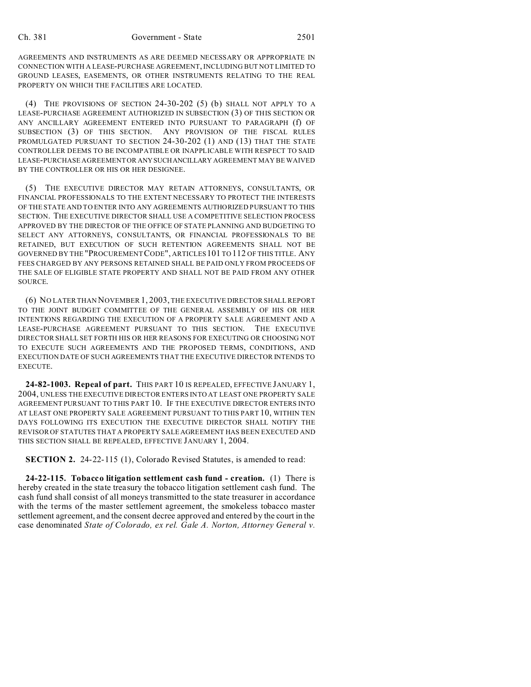AGREEMENTS AND INSTRUMENTS AS ARE DEEMED NECESSARY OR APPROPRIATE IN CONNECTION WITH A LEASE-PURCHASE AGREEMENT, INCLUDING BUT NOT LIMITED TO GROUND LEASES, EASEMENTS, OR OTHER INSTRUMENTS RELATING TO THE REAL PROPERTY ON WHICH THE FACILITIES ARE LOCATED.

(4) THE PROVISIONS OF SECTION 24-30-202 (5) (b) SHALL NOT APPLY TO A LEASE-PURCHASE AGREEMENT AUTHORIZED IN SUBSECTION (3) OF THIS SECTION OR ANY ANCILLARY AGREEMENT ENTERED INTO PURSUANT TO PARAGRAPH (f) OF SUBSECTION (3) OF THIS SECTION. ANY PROVISION OF THE FISCAL RULES PROMULGATED PURSUANT TO SECTION 24-30-202 (1) AND (13) THAT THE STATE CONTROLLER DEEMS TO BE INCOMPATIBLE OR INAPPLICABLE WITH RESPECT TO SAID LEASE-PURCHASE AGREEMENT OR ANYSUCHANCILLARY AGREEMENT MAY BE WAIVED BY THE CONTROLLER OR HIS OR HER DESIGNEE.

(5) THE EXECUTIVE DIRECTOR MAY RETAIN ATTORNEYS, CONSULTANTS, OR FINANCIAL PROFESSIONALS TO THE EXTENT NECESSARY TO PROTECT THE INTERESTS OF THE STATE AND TO ENTER INTO ANY AGREEMENTS AUTHORIZED PURSUANT TO THIS SECTION. THE EXECUTIVE DIRECTOR SHALL USE A COMPETITIVE SELECTION PROCESS APPROVED BY THE DIRECTOR OF THE OFFICE OF STATE PLANNING AND BUDGETING TO SELECT ANY ATTORNEYS, CONSULTANTS, OR FINANCIAL PROFESSIONALS TO BE RETAINED, BUT EXECUTION OF SUCH RETENTION AGREEMENTS SHALL NOT BE GOVERNED BY THE "PROCUREMENTCODE", ARTICLES101 TO 112 OF THIS TITLE. ANY FEES CHARGED BY ANY PERSONS RETAINED SHALL BE PAID ONLY FROM PROCEEDS OF THE SALE OF ELIGIBLE STATE PROPERTY AND SHALL NOT BE PAID FROM ANY OTHER SOURCE.

(6) NO LATER THAN NOVEMBER 1, 2003, THE EXECUTIVE DIRECTOR SHALL REPORT TO THE JOINT BUDGET COMMITTEE OF THE GENERAL ASSEMBLY OF HIS OR HER INTENTIONS REGARDING THE EXECUTION OF A PROPERTY SALE AGREEMENT AND A LEASE-PURCHASE AGREEMENT PURSUANT TO THIS SECTION. THE EXECUTIVE DIRECTOR SHALL SET FORTH HIS OR HER REASONS FOR EXECUTING OR CHOOSING NOT TO EXECUTE SUCH AGREEMENTS AND THE PROPOSED TERMS, CONDITIONS, AND EXECUTION DATE OF SUCH AGREEMENTS THAT THE EXECUTIVE DIRECTOR INTENDS TO EXECUTE.

**24-82-1003. Repeal of part.** THIS PART 10 IS REPEALED, EFFECTIVE JANUARY 1, 2004, UNLESS THE EXECUTIVE DIRECTOR ENTERS INTO AT LEAST ONE PROPERTY SALE AGREEMENT PURSUANT TO THIS PART 10. IF THE EXECUTIVE DIRECTOR ENTERS INTO AT LEAST ONE PROPERTY SALE AGREEMENT PURSUANT TO THIS PART 10, WITHIN TEN DAYS FOLLOWING ITS EXECUTION THE EXECUTIVE DIRECTOR SHALL NOTIFY THE REVISOR OF STATUTES THAT A PROPERTY SALE AGREEMENT HAS BEEN EXECUTED AND THIS SECTION SHALL BE REPEALED, EFFECTIVE JANUARY 1, 2004.

**SECTION 2.** 24-22-115 (1), Colorado Revised Statutes, is amended to read:

**24-22-115. Tobacco litigation settlement cash fund - creation.** (1) There is hereby created in the state treasury the tobacco litigation settlement cash fund. The cash fund shall consist of all moneys transmitted to the state treasurer in accordance with the terms of the master settlement agreement, the smokeless tobacco master settlement agreement, and the consent decree approved and entered by the court in the case denominated *State of Colorado, ex rel. Gale A. Norton, Attorney General v.*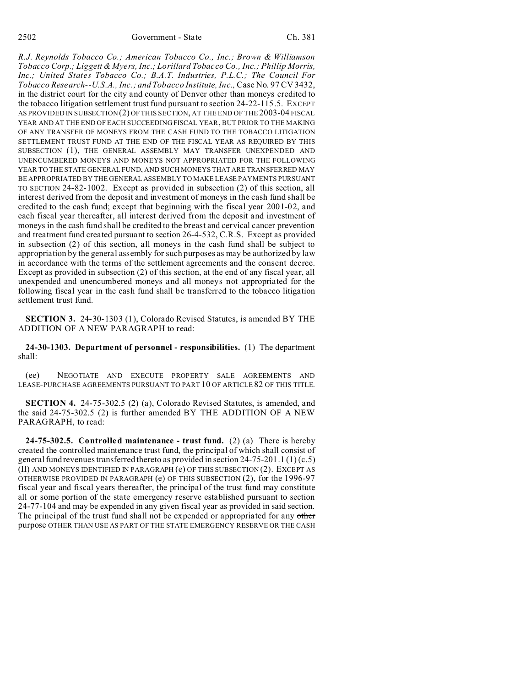## 2502 Government - State Ch. 381

*R.J. Reynolds Tobacco Co.; American Tobacco Co., Inc.; Brown & Williamson Tobacco Corp.; Liggett & Myers, Inc.; Lorillard Tobacco Co., Inc.; Phillip Morris, Inc.; United States Tobacco Co.; B.A.T. Industries, P.L.C.; The Council For Tobacco Research--U.S.A., Inc.; and Tobacco Institute, Inc.,* Case No. 97 CV 3432, in the district court for the city and county of Denver other than moneys credited to the tobacco litigation settlement trust fund pursuant to section 24-22-115.5. EXCEPT AS PROVIDED IN SUBSECTION (2) OF THIS SECTION, AT THE END OF THE 2003-04 FISCAL YEAR AND AT THE END OF EACH SUCCEEDING FISCAL YEAR, BUT PRIOR TO THE MAKING OF ANY TRANSFER OF MONEYS FROM THE CASH FUND TO THE TOBACCO LITIGATION SETTLEMENT TRUST FUND AT THE END OF THE FISCAL YEAR AS REQUIRED BY THIS SUBSECTION (1), THE GENERAL ASSEMBLY MAY TRANSFER UNEXPENDED AND UNENCUMBERED MONEYS AND MONEYS NOT APPROPRIATED FOR THE FOLLOWING YEAR TO THE STATE GENERAL FUND, AND SUCH MONEYS THAT ARE TRANSFERRED MAY BE APPROPRIATED BY THE GENERAL ASSEMBLY TO MAKE LEASE PAYMENTS PURSUANT TO SECTION 24-82-1002. Except as provided in subsection (2) of this section, all interest derived from the deposit and investment of moneys in the cash fund shall be credited to the cash fund; except that beginning with the fiscal year 2001-02, and each fiscal year thereafter, all interest derived from the deposit and investment of moneys in the cash fund shall be credited to the breast and cervical cancer prevention and treatment fund created pursuant to section 26-4-532, C.R.S. Except as provided in subsection (2) of this section, all moneys in the cash fund shall be subject to appropriation by the general assembly for such purposes as may be authorized by law in accordance with the terms of the settlement agreements and the consent decree. Except as provided in subsection (2) of this section, at the end of any fiscal year, all unexpended and unencumbered moneys and all moneys not appropriated for the following fiscal year in the cash fund shall be transferred to the tobacco litigation settlement trust fund.

**SECTION 3.** 24-30-1303 (1), Colorado Revised Statutes, is amended BY THE ADDITION OF A NEW PARAGRAPH to read:

**24-30-1303. Department of personnel - responsibilities.** (1) The department shall:

(ee) NEGOTIATE AND EXECUTE PROPERTY SALE AGREEMENTS AND LEASE-PURCHASE AGREEMENTS PURSUANT TO PART 10 OF ARTICLE 82 OF THIS TITLE.

**SECTION 4.** 24-75-302.5 (2) (a), Colorado Revised Statutes, is amended, and the said 24-75-302.5 (2) is further amended BY THE ADDITION OF A NEW PARAGRAPH, to read:

**24-75-302.5. Controlled maintenance - trust fund.** (2) (a) There is hereby created the controlled maintenance trust fund, the principal of which shall consist of general fund revenues transferred thereto as provided in section  $24-75-201.1(1)(c.5)$ (II) AND MONEYS IDENTIFIED IN PARAGRAPH (e) OF THIS SUBSECTION (2). EXCEPT AS OTHERWISE PROVIDED IN PARAGRAPH (e) OF THIS SUBSECTION (2), for the 1996-97 fiscal year and fiscal years thereafter, the principal of the trust fund may constitute all or some portion of the state emergency reserve established pursuant to section 24-77-104 and may be expended in any given fiscal year as provided in said section. The principal of the trust fund shall not be expended or appropriated for any other purpose OTHER THAN USE AS PART OF THE STATE EMERGENCY RESERVE OR THE CASH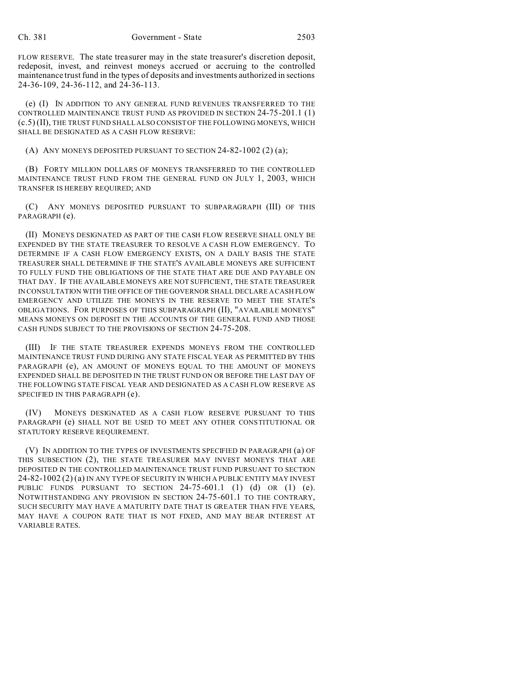FLOW RESERVE. The state treasurer may in the state treasurer's discretion deposit, redeposit, invest, and reinvest moneys accrued or accruing to the controlled maintenance trust fund in the types of deposits and investments authorized in sections 24-36-109, 24-36-112, and 24-36-113.

(e) (I) IN ADDITION TO ANY GENERAL FUND REVENUES TRANSFERRED TO THE CONTROLLED MAINTENANCE TRUST FUND AS PROVIDED IN SECTION 24-75-201.1 (1) (c.5)(II), THE TRUST FUND SHALL ALSO CONSIST OF THE FOLLOWING MONEYS, WHICH SHALL BE DESIGNATED AS A CASH FLOW RESERVE:

(A) ANY MONEYS DEPOSITED PURSUANT TO SECTION  $24-82-1002$  (2) (a);

(B) FORTY MILLION DOLLARS OF MONEYS TRANSFERRED TO THE CONTROLLED MAINTENANCE TRUST FUND FROM THE GENERAL FUND ON JULY 1, 2003, WHICH TRANSFER IS HEREBY REQUIRED; AND

(C) ANY MONEYS DEPOSITED PURSUANT TO SUBPARAGRAPH (III) OF THIS PARAGRAPH (e).

(II) MONEYS DESIGNATED AS PART OF THE CASH FLOW RESERVE SHALL ONLY BE EXPENDED BY THE STATE TREASURER TO RESOLVE A CASH FLOW EMERGENCY. TO DETERMINE IF A CASH FLOW EMERGENCY EXISTS, ON A DAILY BASIS THE STATE TREASURER SHALL DETERMINE IF THE STATE'S AVAILABLE MONEYS ARE SUFFICIENT TO FULLY FUND THE OBLIGATIONS OF THE STATE THAT ARE DUE AND PAYABLE ON THAT DAY. IF THE AVAILABLE MONEYS ARE NOT SUFFICIENT, THE STATE TREASURER IN CONSULTATION WITH THE OFFICE OF THE GOVERNOR SHALL DECLARE A CASH FLOW EMERGENCY AND UTILIZE THE MONEYS IN THE RESERVE TO MEET THE STATE'S OBLIGATIONS. FOR PURPOSES OF THIS SUBPARAGRAPH (II), "AVAILABLE MONEYS" MEANS MONEYS ON DEPOSIT IN THE ACCOUNTS OF THE GENERAL FUND AND THOSE CASH FUNDS SUBJECT TO THE PROVISIONS OF SECTION 24-75-208.

(III) IF THE STATE TREASURER EXPENDS MONEYS FROM THE CONTROLLED MAINTENANCE TRUST FUND DURING ANY STATE FISCAL YEAR AS PERMITTED BY THIS PARAGRAPH (e), AN AMOUNT OF MONEYS EQUAL TO THE AMOUNT OF MONEYS EXPENDED SHALL BE DEPOSITED IN THE TRUST FUND ON OR BEFORE THE LAST DAY OF THE FOLLOWING STATE FISCAL YEAR AND DESIGNATED AS A CASH FLOW RESERVE AS SPECIFIED IN THIS PARAGRAPH (e).

(IV) MONEYS DESIGNATED AS A CASH FLOW RESERVE PURSUANT TO THIS PARAGRAPH (e) SHALL NOT BE USED TO MEET ANY OTHER CONSTITUTIONAL OR STATUTORY RESERVE REQUIREMENT.

(V) IN ADDITION TO THE TYPES OF INVESTMENTS SPECIFIED IN PARAGRAPH (a) OF THIS SUBSECTION (2), THE STATE TREASURER MAY INVEST MONEYS THAT ARE DEPOSITED IN THE CONTROLLED MAINTENANCE TRUST FUND PURSUANT TO SECTION 24-82-1002 (2) (a) IN ANY TYPE OF SECURITY IN WHICH A PUBLIC ENTITY MAY INVEST PUBLIC FUNDS PURSUANT TO SECTION 24-75-601.1 (1) (d) OR (1) (e). NOTWITHSTANDING ANY PROVISION IN SECTION 24-75-601.1 TO THE CONTRARY, SUCH SECURITY MAY HAVE A MATURITY DATE THAT IS GREATER THAN FIVE YEARS, MAY HAVE A COUPON RATE THAT IS NOT FIXED, AND MAY BEAR INTEREST AT VARIABLE RATES.